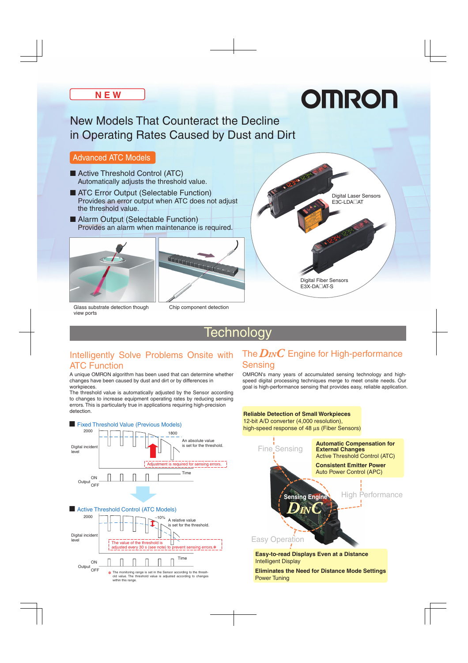# OMRON

### New Models That Counteract the Decline in Operating Rates Caused by Dust and Dirt

#### Advanced ATC Models

- Active Threshold Control (ATC) Automatically adjusts the threshold value.
- ATC Error Output (Selectable Function) Provides an error output when ATC does not adjust the threshold value.
- Alarm Output (Selectable Function) Provides an alarm when maintenance is required.





Chip component detection

Glass substrate detection though view ports



## **Technology**

#### Intelligently Solve Problems Onsite with The  $D_{IN}C$  Engine for High-performance ATC Function

A unique OMRON algorithm has been used that can determine whether changes have been caused by dust and dirt or by differences in workpieces.

The threshold value is automatically adjusted by the Sensor according to changes to increase equipment operating rates by reducing sensing errors. This is particularly true in applications requiring high-precision detection.



## Sensing

OMRON's many years of accumulated sensing technology and highspeed digital processing techniques merge to meet onsite needs. Our goal is high-performance sensing that provides easy, reliable application.



■ Fixed Threshold Value (Previous Models)